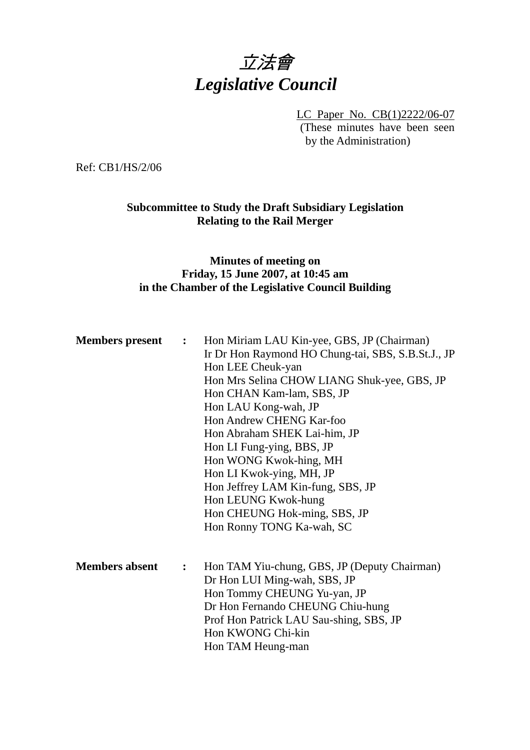# 立法會 *Legislative Council*

LC Paper No. CB(1)2222/06-07 (These minutes have been seen by the Administration)

Ref: CB1/HS/2/06

### **Subcommittee to Study the Draft Subsidiary Legislation Relating to the Rail Merger**

### **Minutes of meeting on Friday, 15 June 2007, at 10:45 am in the Chamber of the Legislative Council Building**

| <b>Members</b> present | :              | Hon Miriam LAU Kin-yee, GBS, JP (Chairman)<br>Ir Dr Hon Raymond HO Chung-tai, SBS, S.B.St.J., JP<br>Hon LEE Cheuk-yan<br>Hon Mrs Selina CHOW LIANG Shuk-yee, GBS, JP<br>Hon CHAN Kam-lam, SBS, JP<br>Hon LAU Kong-wah, JP<br>Hon Andrew CHENG Kar-foo<br>Hon Abraham SHEK Lai-him, JP<br>Hon LI Fung-ying, BBS, JP<br>Hon WONG Kwok-hing, MH<br>Hon LI Kwok-ying, MH, JP<br>Hon Jeffrey LAM Kin-fung, SBS, JP<br>Hon LEUNG Kwok-hung<br>Hon CHEUNG Hok-ming, SBS, JP<br>Hon Ronny TONG Ka-wah, SC |
|------------------------|----------------|---------------------------------------------------------------------------------------------------------------------------------------------------------------------------------------------------------------------------------------------------------------------------------------------------------------------------------------------------------------------------------------------------------------------------------------------------------------------------------------------------|
| <b>Members absent</b>  | $\ddot{\cdot}$ | Hon TAM Yiu-chung, GBS, JP (Deputy Chairman)<br>Dr Hon LUI Ming-wah, SBS, JP<br>Hon Tommy CHEUNG Yu-yan, JP<br>Dr Hon Fernando CHEUNG Chiu-hung<br>Prof Hon Patrick LAU Sau-shing, SBS, JP<br>Hon KWONG Chi-kin<br>Hon TAM Heung-man                                                                                                                                                                                                                                                              |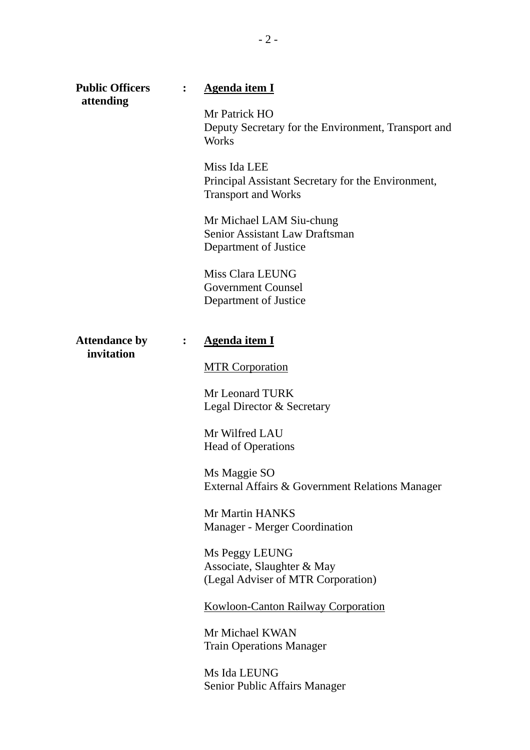| <b>Public Officers</b><br>attending |                | <b>Agenda item I</b>                                                                             |
|-------------------------------------|----------------|--------------------------------------------------------------------------------------------------|
|                                     |                | Mr Patrick HO<br>Deputy Secretary for the Environment, Transport and<br><b>Works</b>             |
|                                     |                | Miss Ida LEE<br>Principal Assistant Secretary for the Environment,<br><b>Transport and Works</b> |
|                                     |                | Mr Michael LAM Siu-chung<br>Senior Assistant Law Draftsman<br>Department of Justice              |
|                                     |                | Miss Clara LEUNG<br><b>Government Counsel</b><br>Department of Justice                           |
| <b>Attendance by</b>                | $\ddot{\cdot}$ | <b>Agenda item I</b>                                                                             |
| invitation                          |                | <b>MTR Corporation</b>                                                                           |
|                                     |                | Mr Leonard TURK<br>Legal Director & Secretary                                                    |
|                                     |                | Mr Wilfred LAU<br><b>Head of Operations</b>                                                      |
|                                     |                | Ms Maggie SO<br>External Affairs & Government Relations Manager                                  |
|                                     |                | Mr Martin HANKS<br>Manager - Merger Coordination                                                 |
|                                     |                | Ms Peggy LEUNG<br>Associate, Slaughter & May<br>(Legal Adviser of MTR Corporation)               |
|                                     |                | <b>Kowloon-Canton Railway Corporation</b>                                                        |
|                                     |                | Mr Michael KWAN<br><b>Train Operations Manager</b>                                               |
|                                     |                | Ms Ida LEUNG<br>Senior Public Affairs Manager                                                    |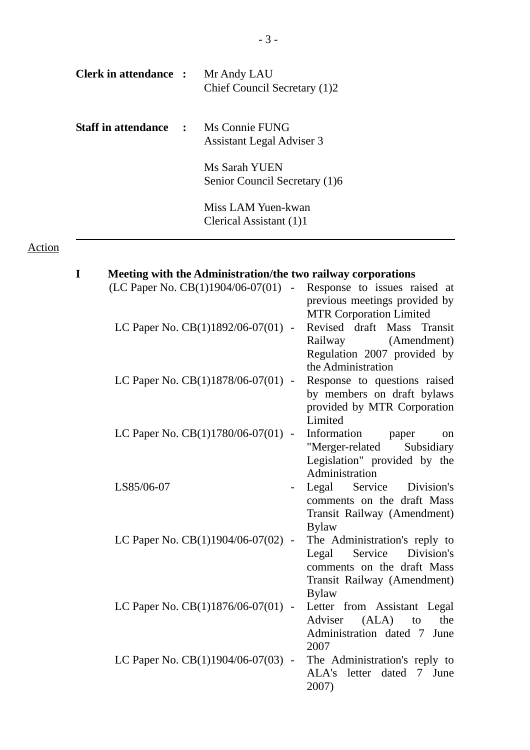| <b>Clerk in attendance :</b> Mr Andy LAU    | Chief Council Secretary (1)2                   |
|---------------------------------------------|------------------------------------------------|
| <b>Staff in attendance : Ms Connie FUNG</b> | <b>Assistant Legal Adviser 3</b>               |
|                                             | Ms Sarah YUEN<br>Senior Council Secretary (1)6 |
|                                             | Miss LAM Yuen-kwan<br>Clerical Assistant (1)1  |

## Action

| I | Meeting with the Administration/the two railway corporations |                                                                                                                                              |
|---|--------------------------------------------------------------|----------------------------------------------------------------------------------------------------------------------------------------------|
|   | (LC Paper No. CB(1)1904/06-07(01) -                          | Response to issues raised at<br>previous meetings provided by<br><b>MTR Corporation Limited</b>                                              |
|   | LC Paper No. CB(1)1892/06-07(01) -                           | Revised draft Mass<br>Transit<br>Railway (Amendment)<br>Regulation 2007 provided by<br>the Administration                                    |
|   | LC Paper No. $CB(1)1878/06-07(01)$ -                         | Response to questions raised<br>by members on draft bylaws<br>provided by MTR Corporation<br>Limited                                         |
|   | LC Paper No. $CB(1)1780/06-07(01)$ -                         | Information<br>paper<br><sub>on</sub><br>"Merger-related<br>Subsidiary<br>Legislation" provided by the<br>Administration                     |
|   | LS85/06-07                                                   | Legal<br>Service<br>Division's<br>comments on the draft Mass<br>Transit Railway (Amendment)<br><b>Bylaw</b>                                  |
|   | LC Paper No. $CB(1)1904/06-07(02)$ -                         | The Administration's reply to<br>Service<br>Legal<br>Division's<br>comments on the draft Mass<br>Transit Railway (Amendment)<br><b>Bylaw</b> |
|   | LC Paper No. CB(1)1876/06-07(01) -                           | Letter from Assistant Legal<br>Adviser<br>(ALA)<br>the<br>to<br>Administration dated 7<br>June<br>2007                                       |
|   | LC Paper No. CB(1)1904/06-07(03) -                           | The Administration's reply to<br>ALA's letter dated<br>$7\overline{ }$<br>June<br>2007)                                                      |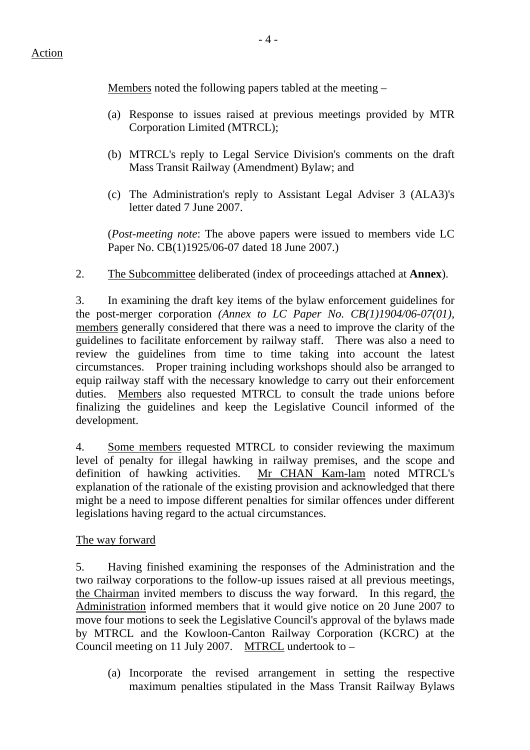Members noted the following papers tabled at the meeting –

- (a) Response to issues raised at previous meetings provided by MTR Corporation Limited (MTRCL);
- (b) MTRCL's reply to Legal Service Division's comments on the draft Mass Transit Railway (Amendment) Bylaw; and
- (c) The Administration's reply to Assistant Legal Adviser 3 (ALA3)'s letter dated 7 June 2007.

(*Post-meeting note*: The above papers were issued to members vide LC Paper No. CB(1)1925/06-07 dated 18 June 2007.)

2. The Subcommittee deliberated (index of proceedings attached at **Annex**).

3. In examining the draft key items of the bylaw enforcement guidelines for the post-merger corporation *(Annex to LC Paper No. CB(1)1904/06-07(01)*, members generally considered that there was a need to improve the clarity of the guidelines to facilitate enforcement by railway staff. There was also a need to review the guidelines from time to time taking into account the latest circumstances. Proper training including workshops should also be arranged to equip railway staff with the necessary knowledge to carry out their enforcement duties. Members also requested MTRCL to consult the trade unions before finalizing the guidelines and keep the Legislative Council informed of the development.

4. Some members requested MTRCL to consider reviewing the maximum level of penalty for illegal hawking in railway premises, and the scope and definition of hawking activities. Mr CHAN Kam-lam noted MTRCL's explanation of the rationale of the existing provision and acknowledged that there might be a need to impose different penalties for similar offences under different legislations having regard to the actual circumstances.

### The way forward

5. Having finished examining the responses of the Administration and the two railway corporations to the follow-up issues raised at all previous meetings, the Chairman invited members to discuss the way forward. In this regard, the Administration informed members that it would give notice on 20 June 2007 to move four motions to seek the Legislative Council's approval of the bylaws made by MTRCL and the Kowloon-Canton Railway Corporation (KCRC) at the Council meeting on 11 July 2007. MTRCL undertook to  $-$ 

(a) Incorporate the revised arrangement in setting the respective maximum penalties stipulated in the Mass Transit Railway Bylaws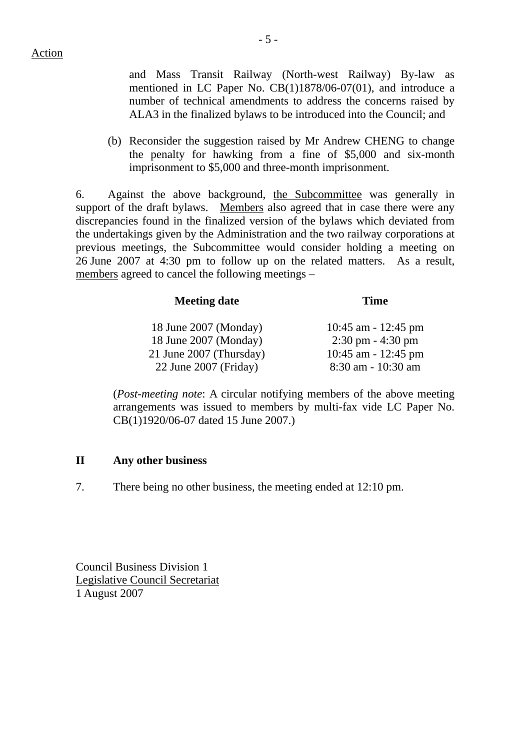and Mass Transit Railway (North-west Railway) By-law as mentioned in LC Paper No. CB(1)1878/06-07(01), and introduce a number of technical amendments to address the concerns raised by ALA3 in the finalized bylaws to be introduced into the Council; and

(b) Reconsider the suggestion raised by Mr Andrew CHENG to change the penalty for hawking from a fine of \$5,000 and six-month imprisonment to \$5,000 and three-month imprisonment.

6. Against the above background, the Subcommittee was generally in support of the draft bylaws. Members also agreed that in case there were any discrepancies found in the finalized version of the bylaws which deviated from the undertakings given by the Administration and the two railway corporations at previous meetings, the Subcommittee would consider holding a meeting on 26 June 2007 at 4:30 pm to follow up on the related matters. As a result, members agreed to cancel the following meetings –

| <b>Meeting date</b>     | Time                                |
|-------------------------|-------------------------------------|
| 18 June 2007 (Monday)   | 10:45 am - 12:45 pm                 |
| 18 June 2007 (Monday)   | $2:30 \text{ pm} - 4:30 \text{ pm}$ |
| 21 June 2007 (Thursday) | 10:45 am - 12:45 pm                 |
| 22 June 2007 (Friday)   | 8:30 am - 10:30 am                  |

(*Post-meeting note*: A circular notifying members of the above meeting arrangements was issued to members by multi-fax vide LC Paper No. CB(1)1920/06-07 dated 15 June 2007.)

### **II Any other business**

7. There being no other business, the meeting ended at 12:10 pm.

Council Business Division 1 Legislative Council Secretariat 1 August 2007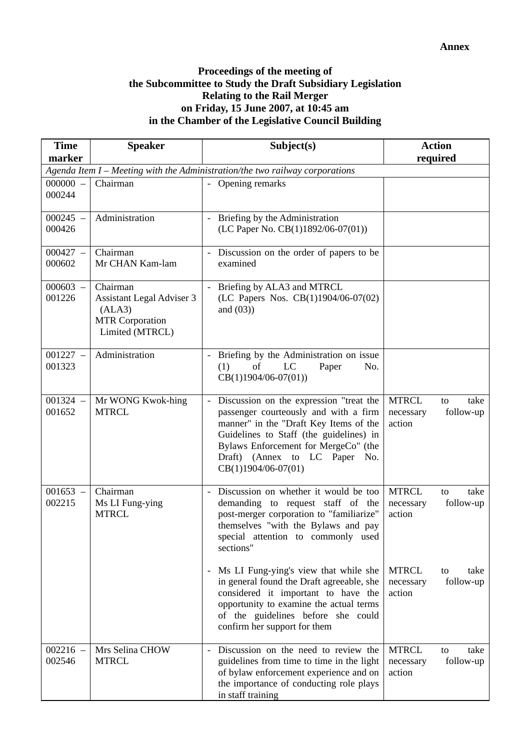#### **Proceedings of the meeting of the Subcommittee to Study the Draft Subsidiary Legislation Relating to the Rail Merger on Friday, 15 June 2007, at 10:45 am in the Chamber of the Legislative Council Building**

| <b>Time</b>          | <b>Speaker</b>                                                                               | Subject(s)                                                                                                                                                                                                                                                              | <b>Action</b>                                                  |
|----------------------|----------------------------------------------------------------------------------------------|-------------------------------------------------------------------------------------------------------------------------------------------------------------------------------------------------------------------------------------------------------------------------|----------------------------------------------------------------|
| marker               |                                                                                              |                                                                                                                                                                                                                                                                         | required                                                       |
| $000000 -$           | Chairman                                                                                     | Agenda Item I - Meeting with the Administration/the two railway corporations<br>- Opening remarks                                                                                                                                                                       |                                                                |
| 000244               |                                                                                              |                                                                                                                                                                                                                                                                         |                                                                |
| $000245 -$<br>000426 | Administration                                                                               | Briefing by the Administration<br>(LC Paper No. CB(1)1892/06-07(01))                                                                                                                                                                                                    |                                                                |
| $000427 -$<br>000602 | Chairman<br>Mr CHAN Kam-lam                                                                  | - Discussion on the order of papers to be<br>examined                                                                                                                                                                                                                   |                                                                |
| $000603 -$<br>001226 | Chairman<br>Assistant Legal Adviser 3<br>(ALA3)<br><b>MTR Corporation</b><br>Limited (MTRCL) | Briefing by ALA3 and MTRCL<br>(LC Papers Nos. CB(1)1904/06-07(02)<br>and $(03)$ )                                                                                                                                                                                       |                                                                |
| $001227 -$<br>001323 | Administration                                                                               | - Briefing by the Administration on issue<br>LC<br>(1)<br>of<br>Paper<br>No.<br>$CB(1)1904/06-07(01))$                                                                                                                                                                  |                                                                |
| $001324 -$<br>001652 | Mr WONG Kwok-hing<br><b>MTRCL</b>                                                            | Discussion on the expression "treat the<br>passenger courteously and with a firm<br>manner" in the "Draft Key Items of the<br>Guidelines to Staff (the guidelines) in<br>Bylaws Enforcement for MergeCo" (the<br>Draft) (Annex to LC Paper No.<br>$CB(1)1904/06-07(01)$ | <b>MTRCL</b><br>take<br>to<br>follow-up<br>necessary<br>action |
| $001653 -$<br>002215 | Chairman<br>Ms LI Fung-ying<br><b>MTRCL</b>                                                  | - Discussion on whether it would be too<br>demanding to request staff of the<br>post-merger corporation to "familiarize"<br>themselves "with the Bylaws and pay<br>special attention to commonly used<br>sections"                                                      | <b>MTRCL</b><br>take<br>to<br>follow-up<br>necessary<br>action |
|                      |                                                                                              | Ms LI Fung-ying's view that while she<br>in general found the Draft agreeable, she<br>considered it important to have the<br>opportunity to examine the actual terms<br>of the guidelines before she could<br>confirm her support for them                              | <b>MTRCL</b><br>take<br>to<br>follow-up<br>necessary<br>action |
| $002216 -$<br>002546 | Mrs Selina CHOW<br><b>MTRCL</b>                                                              | Discussion on the need to review the<br>guidelines from time to time in the light<br>of bylaw enforcement experience and on<br>the importance of conducting role plays<br>in staff training                                                                             | <b>MTRCL</b><br>take<br>to<br>follow-up<br>necessary<br>action |